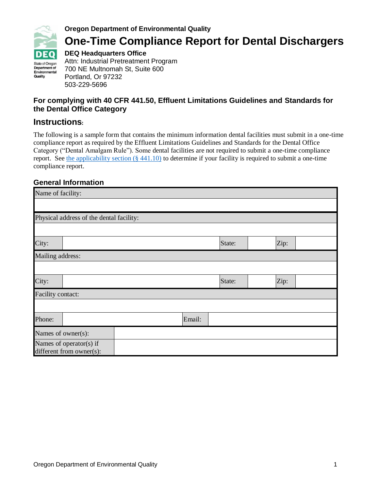

#### **Oregon Department of Environmental Quality**

# **One-Time Compliance Report for Dental Dischargers**

**DEQ Headquarters Office**

Attn: Industrial Pretreatment Program 700 NE Multnomah St, Suite 600 Portland, Or 97232 503-229-5696

#### **For complying with 40 CFR 441.50, Effluent Limitations Guidelines and Standards for the Dental Office Category**

#### **Instructions:**

The following is a sample form that contains the minimum information dental facilities must submit in a one-time compliance report as required by the Effluent Limitations Guidelines and Standards for the Dental Office Category ("Dental Amalgam Rule"). Some dental facilities are not required to submit a one-time compliance report. See the applicability section  $(\S 441.10)$  to determine if your facility is required to submit a one-time compliance report.

#### **General Information**

| Name of facility:                                   |                                          |  |        |        |  |      |  |
|-----------------------------------------------------|------------------------------------------|--|--------|--------|--|------|--|
|                                                     |                                          |  |        |        |  |      |  |
|                                                     | Physical address of the dental facility: |  |        |        |  |      |  |
|                                                     |                                          |  |        |        |  |      |  |
| City:                                               |                                          |  |        | State: |  | Zip: |  |
| Mailing address:                                    |                                          |  |        |        |  |      |  |
|                                                     |                                          |  |        |        |  |      |  |
| City:                                               |                                          |  |        | State: |  | Zip: |  |
| <b>Facility contact:</b>                            |                                          |  |        |        |  |      |  |
|                                                     |                                          |  |        |        |  |      |  |
| Phone:                                              |                                          |  | Email: |        |  |      |  |
|                                                     | Names of owner(s):                       |  |        |        |  |      |  |
| Names of operator(s) if<br>different from owner(s): |                                          |  |        |        |  |      |  |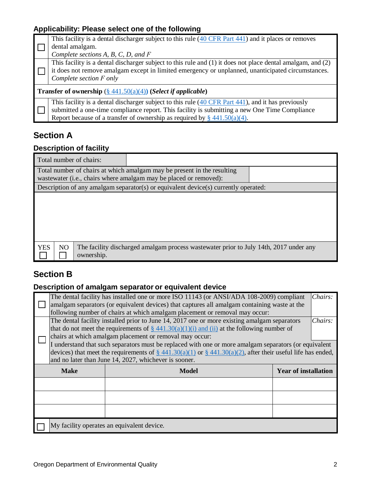### **Applicability: Please select one of the following**

|                                                                                          | This facility is a dental discharger subject to this rule (40 CFR Part 441) and it places or removes                                                                                                                                                                                                    |  |  |  |
|------------------------------------------------------------------------------------------|---------------------------------------------------------------------------------------------------------------------------------------------------------------------------------------------------------------------------------------------------------------------------------------------------------|--|--|--|
|                                                                                          | dental amalgam.                                                                                                                                                                                                                                                                                         |  |  |  |
|                                                                                          | Complete sections $A, B, C, D,$ and $F$                                                                                                                                                                                                                                                                 |  |  |  |
|                                                                                          | This facility is a dental discharger subject to this rule and $(1)$ it does not place dental amalgam, and $(2)$<br>it does not remove amalgam except in limited emergency or unplanned, unanticipated circumstances.<br>Complete section F only                                                         |  |  |  |
| <b>Transfer of ownership</b> $(\frac{8}{9}441.50(a)(4))$ ( <i>Select if applicable</i> ) |                                                                                                                                                                                                                                                                                                         |  |  |  |
|                                                                                          | This facility is a dental discharger subject to this rule $(40 \text{ CFR Part } 441)$ , and it has previously<br>submitted a one-time compliance report. This facility is submitting a new One Time Compliance<br>Report because of a transfer of ownership as required by $\frac{8}{9}$ 441.50(a)(4). |  |  |  |

## **Section A**

### **Description of facility**

| Total number of chairs:                    |                                                                                                                                              |                                                                                        |  |  |  |  |
|--------------------------------------------|----------------------------------------------------------------------------------------------------------------------------------------------|----------------------------------------------------------------------------------------|--|--|--|--|
|                                            | Total number of chairs at which amalgam may be present in the resulting<br>wastewater (i.e., chairs where amalgam may be placed or removed): |                                                                                        |  |  |  |  |
|                                            |                                                                                                                                              | Description of any amalgam separator(s) or equivalent device(s) currently operated:    |  |  |  |  |
|                                            |                                                                                                                                              |                                                                                        |  |  |  |  |
| <b>YES</b><br>N <sub>O</sub><br>ownership. |                                                                                                                                              | The facility discharged amalgam process was tewater prior to July 14th, 2017 under any |  |  |  |  |

### **Section B**

### **Description of amalgam separator or equivalent device**

|                      | The dental facility has installed one or more ISO 11143 (or ANSI/ADA 108-2009) compliant                          |                                                       |  |  |  |  |
|----------------------|-------------------------------------------------------------------------------------------------------------------|-------------------------------------------------------|--|--|--|--|
|                      | amalgam separators (or equivalent devices) that captures all amalgam containing waste at the                      |                                                       |  |  |  |  |
|                      | following number of chairs at which amalgam placement or removal may occur:                                       |                                                       |  |  |  |  |
|                      | The dental facility installed prior to June 14, 2017 one or more existing amalgam separators<br>Chairs:           |                                                       |  |  |  |  |
|                      | that do not meet the requirements of $\S$ 441.30(a)(1)(i) and (ii) at the following number of                     |                                                       |  |  |  |  |
|                      | chairs at which amalgam placement or removal may occur:                                                           |                                                       |  |  |  |  |
|                      | I understand that such separators must be replaced with one or more amalgam separators (or equivalent             |                                                       |  |  |  |  |
|                      | devices) that meet the requirements of $\S$ 441.30(a)(1) or $\S$ 441.30(a)(2), after their useful life has ended, |                                                       |  |  |  |  |
|                      |                                                                                                                   | and no later than June 14, 2027, whichever is sooner. |  |  |  |  |
| <b>Make</b><br>Model |                                                                                                                   | <b>Year of installation</b>                           |  |  |  |  |
|                      |                                                                                                                   |                                                       |  |  |  |  |
|                      |                                                                                                                   |                                                       |  |  |  |  |
|                      |                                                                                                                   |                                                       |  |  |  |  |
|                      |                                                                                                                   |                                                       |  |  |  |  |
|                      |                                                                                                                   |                                                       |  |  |  |  |
|                      | My facility operates an equivalent device.                                                                        |                                                       |  |  |  |  |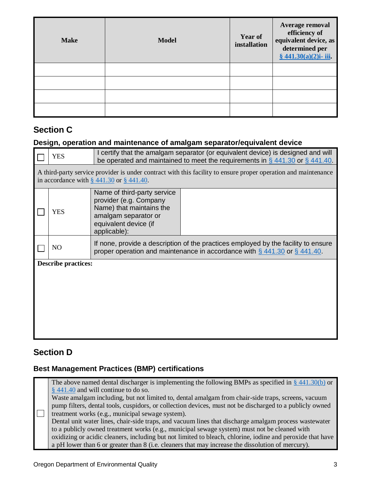| <b>Make</b> | <b>Model</b> | <b>Year of</b><br>installation | Average removal<br>efficiency of<br>equivalent device, as<br>determined per<br>$§ 441.30(a)(2)$ i- iii. |
|-------------|--------------|--------------------------------|---------------------------------------------------------------------------------------------------------|
|             |              |                                |                                                                                                         |
|             |              |                                |                                                                                                         |
|             |              |                                |                                                                                                         |
|             |              |                                |                                                                                                         |

#### **Section C**

#### **Design, operation and maintenance of amalgam separator/equivalent device**

| <b>YES</b>                                                                                                                                                       | I certify that the amalgam separator (or equivalent device) is designed and will<br>be operated and maintained to meet the requirements in $\S$ 441.30 or $\S$ 441.40. |  |  |  |  |  |
|------------------------------------------------------------------------------------------------------------------------------------------------------------------|------------------------------------------------------------------------------------------------------------------------------------------------------------------------|--|--|--|--|--|
| A third-party service provider is under contract with this facility to ensure proper operation and maintenance<br>in accordance with $\S$ 441.30 or $\S$ 441.40. |                                                                                                                                                                        |  |  |  |  |  |
| <b>YES</b>                                                                                                                                                       | Name of third-party service<br>provider (e.g. Company<br>Name) that maintains the<br>amalgam separator or<br>equivalent device (if<br>applicable):                     |  |  |  |  |  |
| N <sub>O</sub>                                                                                                                                                   | If none, provide a description of the practices employed by the facility to ensure<br>proper operation and maintenance in accordance with $\S$ 441.30 or $\S$ 441.40.  |  |  |  |  |  |
| <b>Describe practices:</b>                                                                                                                                       |                                                                                                                                                                        |  |  |  |  |  |
|                                                                                                                                                                  |                                                                                                                                                                        |  |  |  |  |  |
|                                                                                                                                                                  |                                                                                                                                                                        |  |  |  |  |  |
|                                                                                                                                                                  |                                                                                                                                                                        |  |  |  |  |  |

### **Section D**

#### **Best Management Practices (BMP) certifications**

 $\Box$ The above named dental discharger is implementing the following BMPs as specified in  $\S$  [441.30\(b\)](https://www.federalregister.gov/d/2017-12338/p-299) or [§ 441.40](https://www.federalregister.gov/d/2017-12338/p-309) and will continue to do so. Waste amalgam including, but not limited to, dental amalgam from chair-side traps, screens, vacuum pump filters, dental tools, cuspidors, or collection devices, must not be discharged to a publicly owned treatment works (e.g., municipal sewage system). Dental unit water lines, chair-side traps, and vacuum lines that discharge amalgam process wastewater to a publicly owned treatment works (e.g., municipal sewage system) must not be cleaned with oxidizing or acidic cleaners, including but not limited to bleach, chlorine, iodine and peroxide that have a pH lower than 6 or greater than 8 (i.e. cleaners that may increase the dissolution of mercury).